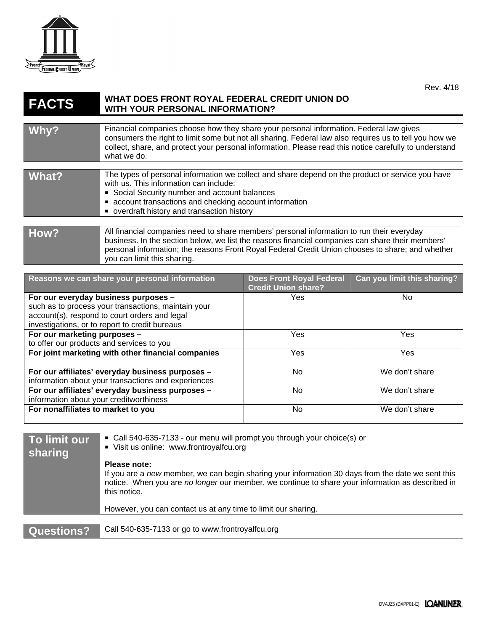

## **FACTS WHAT DOES FRONT ROYAL FEDERAL CREDIT UNION DO WITH YOUR PERSONAL INFORMATION?**

| Why?        | Financial companies choose how they share your personal information. Federal law gives<br>consumers the right to limit some but not all sharing. Federal law also requires us to tell you how we<br>collect, share, and protect your personal information. Please read this notice carefully to understand<br>what we do.        |
|-------------|----------------------------------------------------------------------------------------------------------------------------------------------------------------------------------------------------------------------------------------------------------------------------------------------------------------------------------|
|             |                                                                                                                                                                                                                                                                                                                                  |
| What?       | The types of personal information we collect and share depend on the product or service you have<br>with us. This information can include:<br>Social Security number and account balances<br>• account transactions and checking account information<br>• overdraft history and transaction history                              |
|             |                                                                                                                                                                                                                                                                                                                                  |
| <b>How?</b> | All financial companies need to share members' personal information to run their everyday<br>business. In the section below, we list the reasons financial companies can share their members'<br>personal information; the reasons Front Royal Federal Credit Union chooses to share; and whether<br>you can limit this sharing. |

| Reasons we can share your personal information      | <b>Does Front Royal Federal</b><br><b>Credit Union share?</b> | Can you limit this sharing? |
|-----------------------------------------------------|---------------------------------------------------------------|-----------------------------|
| For our everyday business purposes -                | <b>Yes</b>                                                    | No.                         |
| such as to process your transactions, maintain your |                                                               |                             |
| account(s), respond to court orders and legal       |                                                               |                             |
| investigations, or to report to credit bureaus      |                                                               |                             |
| For our marketing purposes -                        | <b>Yes</b>                                                    | <b>Yes</b>                  |
| to offer our products and services to you           |                                                               |                             |
| For joint marketing with other financial companies  | <b>Yes</b>                                                    | <b>Yes</b>                  |
| For our affiliates' everyday business purposes -    | No.                                                           | We don't share              |
| information about your transactions and experiences |                                                               |                             |
| For our affiliates' everyday business purposes -    | No                                                            | We don't share              |
| information about your creditworthiness             |                                                               |                             |
| For nonaffiliates to market to you                  | No                                                            | We don't share              |

| To limit our<br>sharing | ■ Call 540-635-7133 - our menu will prompt you through your choice(s) or<br>Visit us online: www.frontroyalfcu.org                                                                                                                    |
|-------------------------|---------------------------------------------------------------------------------------------------------------------------------------------------------------------------------------------------------------------------------------|
|                         | Please note:<br>If you are a new member, we can begin sharing your information 30 days from the date we sent this<br>notice. When you are no longer our member, we continue to share your information as described in<br>this notice. |
|                         | However, you can contact us at any time to limit our sharing.                                                                                                                                                                         |
|                         |                                                                                                                                                                                                                                       |
| <b>Questions?</b>       | Call 540-635-7133 or go to www.frontroyalfcu.org                                                                                                                                                                                      |